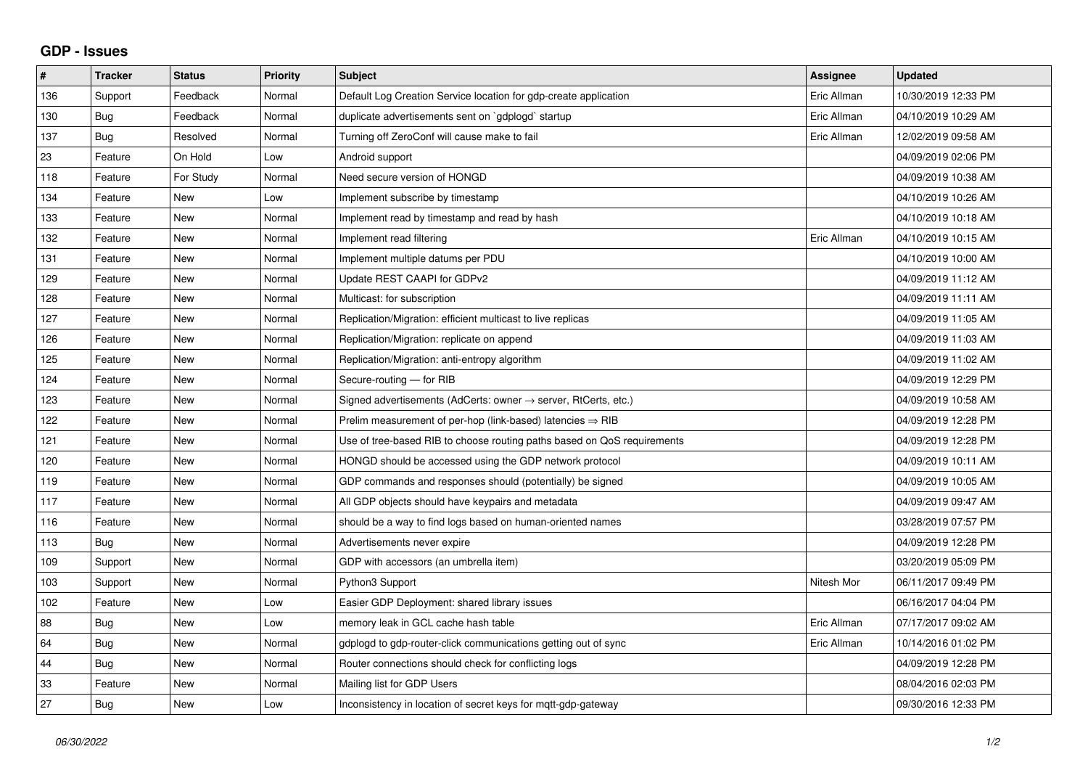## **GDP - Issues**

| $\sharp$ | <b>Tracker</b> | <b>Status</b> | <b>Priority</b> | <b>Subject</b>                                                          | Assignee    | <b>Updated</b>      |
|----------|----------------|---------------|-----------------|-------------------------------------------------------------------------|-------------|---------------------|
| 136      | Support        | Feedback      | Normal          | Default Log Creation Service location for gdp-create application        | Eric Allman | 10/30/2019 12:33 PM |
| 130      | <b>Bug</b>     | Feedback      | Normal          | duplicate advertisements sent on `gdplogd` startup                      | Eric Allman | 04/10/2019 10:29 AM |
| 137      | <b>Bug</b>     | Resolved      | Normal          | Turning off ZeroConf will cause make to fail                            | Eric Allman | 12/02/2019 09:58 AM |
| 23       | Feature        | On Hold       | Low             | Android support                                                         |             | 04/09/2019 02:06 PM |
| 118      | Feature        | For Study     | Normal          | Need secure version of HONGD                                            |             | 04/09/2019 10:38 AM |
| 134      | Feature        | <b>New</b>    | Low             | Implement subscribe by timestamp                                        |             | 04/10/2019 10:26 AM |
| 133      | Feature        | <b>New</b>    | Normal          | Implement read by timestamp and read by hash                            |             | 04/10/2019 10:18 AM |
| 132      | Feature        | <b>New</b>    | Normal          | Implement read filtering                                                | Eric Allman | 04/10/2019 10:15 AM |
| 131      | Feature        | <b>New</b>    | Normal          | Implement multiple datums per PDU                                       |             | 04/10/2019 10:00 AM |
| 129      | Feature        | <b>New</b>    | Normal          | Update REST CAAPI for GDPv2                                             |             | 04/09/2019 11:12 AM |
| 128      | Feature        | <b>New</b>    | Normal          | Multicast: for subscription                                             |             | 04/09/2019 11:11 AM |
| 127      | Feature        | <b>New</b>    | Normal          | Replication/Migration: efficient multicast to live replicas             |             | 04/09/2019 11:05 AM |
| 126      | Feature        | <b>New</b>    | Normal          | Replication/Migration: replicate on append                              |             | 04/09/2019 11:03 AM |
| 125      | Feature        | <b>New</b>    | Normal          | Replication/Migration: anti-entropy algorithm                           |             | 04/09/2019 11:02 AM |
| 124      | Feature        | <b>New</b>    | Normal          | Secure-routing - for RIB                                                |             | 04/09/2019 12:29 PM |
| 123      | Feature        | <b>New</b>    | Normal          | Signed advertisements (AdCerts: owner → server, RtCerts, etc.)          |             | 04/09/2019 10:58 AM |
| 122      | Feature        | <b>New</b>    | Normal          | Prelim measurement of per-hop (link-based) latencies $\Rightarrow$ RIB  |             | 04/09/2019 12:28 PM |
| 121      | Feature        | <b>New</b>    | Normal          | Use of tree-based RIB to choose routing paths based on QoS requirements |             | 04/09/2019 12:28 PM |
| 120      | Feature        | <b>New</b>    | Normal          | HONGD should be accessed using the GDP network protocol                 |             | 04/09/2019 10:11 AM |
| 119      | Feature        | <b>New</b>    | Normal          | GDP commands and responses should (potentially) be signed               |             | 04/09/2019 10:05 AM |
| 117      | Feature        | <b>New</b>    | Normal          | All GDP objects should have keypairs and metadata                       |             | 04/09/2019 09:47 AM |
| 116      | Feature        | <b>New</b>    | Normal          | should be a way to find logs based on human-oriented names              |             | 03/28/2019 07:57 PM |
| 113      | Bug            | <b>New</b>    | Normal          | Advertisements never expire                                             |             | 04/09/2019 12:28 PM |
| 109      | Support        | <b>New</b>    | Normal          | GDP with accessors (an umbrella item)                                   |             | 03/20/2019 05:09 PM |
| 103      | Support        | New           | Normal          | Python3 Support                                                         | Nitesh Mor  | 06/11/2017 09:49 PM |
| 102      | Feature        | <b>New</b>    | Low             | Easier GDP Deployment: shared library issues                            |             | 06/16/2017 04:04 PM |
| 88       | Bug            | <b>New</b>    | Low             | memory leak in GCL cache hash table                                     | Eric Allman | 07/17/2017 09:02 AM |
| 64       | Bug            | New           | Normal          | gdplogd to gdp-router-click communications getting out of sync          | Eric Allman | 10/14/2016 01:02 PM |
| 44       | Bug            | <b>New</b>    | Normal          | Router connections should check for conflicting logs                    |             | 04/09/2019 12:28 PM |
| 33       | Feature        | <b>New</b>    | Normal          | Mailing list for GDP Users                                              |             | 08/04/2016 02:03 PM |
| 27       | <b>Bug</b>     | New           | Low             | Inconsistency in location of secret keys for mgtt-gdp-gateway           |             | 09/30/2016 12:33 PM |